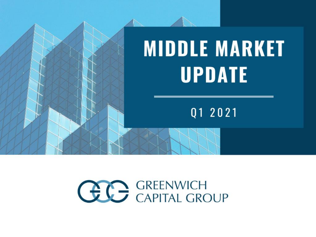

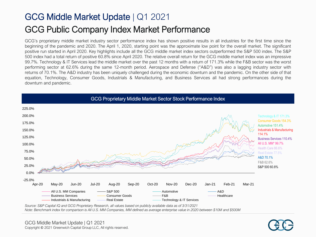#### GCG Middle Market Update | Q1 2021 GCG Public Company Index Market Performance

GCG's proprietary middle market industry sector performance index has shown positive results in all industries for the first time since the beginning of the pandemic and 2020. The April 1, 2020, starting point was the approximate low point for the overall market. The significant positive run started in April 2020. Key highlights include all the GCG middle market index sectors outperformed the S&P 500 index. The S&P 500 index had a total return of positive 60.8% since April 2020. The relative overall return for the GCG middle market index was an impressive 99.7%. Technology & IT Services lead the middle market over the past 12 months with a return of 171.3% while the F&B sector was the worst performing sector at 62.6% during the same 12-month period. Aerospace and Defense ("A&D") was also a lagging industry sector with returns of 70.1%. The A&D industry has been uniquely challenged during the economic downturn and the pandemic. On the other side of that equation, Technology, Consumer Goods, Industrials & Manufacturing, and Business Services all had strong performances during the downturn and pandemic.



GCG Proprietary Middle Market Sector Stock Performance Index

*Source: S&P Capital IQ and GCG Proprietary Research, all values based on publicly available data as of 3/31/2021 Note: Benchmark index for comparison is All U.S. MM Companies, MM defined as average enterprise value in 2020 between \$10M and \$500M*

GCG Middle Market Update | Q1 2021 Copyright © 2021 Greenwich Capital Group LLC, All rights reserved.

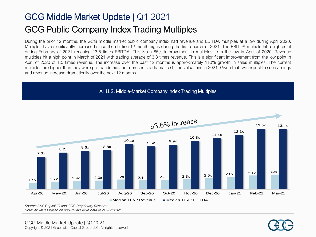### GCG Middle Market Update | Q1 2021 GCG Public Company Index Trading Multiples

During the prior 12 months, the GCG middle market public company index had revenue and EBITDA multiples at a low during April 2020. Multiples have significantly increased since then hitting 12-month highs during the first quarter of 2021. The EBITDA multiple hit a high point during February of 2021 reaching 13.5 times EBITDA. This is an 85% improvement in multiples from the low in April of 2020. Revenue multiples hit a high point in March of 2021 with trading average of 3.3 times revenue. This is a significant improvement from the low point in April of 2020 of 1.5 times revenue. The increase over the past 12 months is approximately 110% growth in sales multiples. The current multiples are higher than they were pre-pandemic and represents a dramatic shift in valuations in 2021. Given that, we expect to see earnings and revenue increase dramatically over the next 12 months.

#### All U.S. Middle-Market Company Index Trading Multiples



*Source: S&P Capital IQ and GCG Proprietary Research Note: All values based on publicly available data as of 3/31/2021*

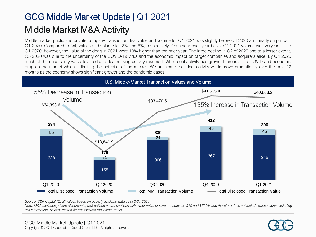### GCG Middle Market Update | Q1 2021 Middle Market M&A Activity

Middle market public and private company transaction deal value and volume for Q1 2021 was slightly below Q4 2020 and nearly on par with Q1 2020. Compared to Q4, values and volume fell 2% and 6%, respectively. On a year-over-year basis, Q1 2021 volume was very similar to Q1 2020, however, the value of the deals in 2021 were 19% higher than the prior year. The large decline in Q2 of 2020 and to a lesser extent, Q3 2020 was due to the uncertainty of the COVID-19 virus and the economic impact on target companies and acquirers alike. By Q4 2020 much of the uncertainty was alleviated and deal making activity resumed. While deal activity has grown, there is still a COVID and economic drag on the market which is limiting the potential of the market. We anticipate that deal activity will improve dramatically over the next 12 months as the economy shows significant growth and the pandemic eases.



*Source: S&P Capital IQ, all values based on publicly available data as of 3/31/2021*

*Note: M&A excludes private placements, MM defined as transactions with either value or revenue between \$10 and \$500M and therefore does not include transactions excluding this information. All deal-related figures exclude real estate deals.*

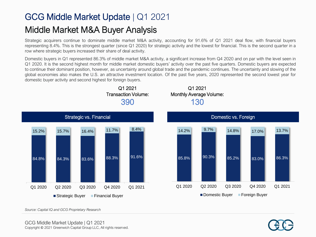#### Middle Market M&A Buyer Analysis

Strategic acquirers continue to dominate middle market M&A activity, accounting for 91.6% of Q1 2021 deal flow, with financial buyers representing 8.4%. This is the strongest quarter (since Q1 2020) for strategic activity and the lowest for financial. This is the second quarter in a row where strategic buyers increased their share of deal activity.

Domestic buyers in Q1 represented 86.3% of middle market M&A activity, a significant increase from Q4 2020 and on par with the level seen in Q1 2020. It is the second highest month for middle market domestic buyers' activity over the past five quarters. Domestic buyers are expected to continue their dominant position, however, as uncertainty around global trade and the pandemic continues. The uncertainty and slowing of the global economies also makes the U.S. an attractive investment location. Of the past five years, 2020 represented the second lowest year for domestic buyer activity and second highest for foreign buyers.



*Source: Capital IQ and GCG Proprietary Research*

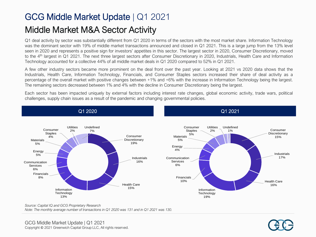### GCG Middle Market Update | Q1 2021 Middle Market M&A Sector Activity

Q1 deal activity by sector was substantially different from Q1 2020 in terms of the sectors with the most market share. Information Technology was the dominant sector with 19% of middle market transactions announced and closed in Q1 2021. This is a large jump from the 13% level seen in 2020 and represents a positive sign for investors' appetites in this sector. The largest sector in 2020, Consumer Discretionary, moved to the 4<sup>th</sup> largest in Q1 2021. The next three largest sectors after Consumer Discretionary in 2020, Industrials, Health Care and Information Technology accounted for a collective 44% of all middle market deals in Q1 2020 compared to 52% in Q1 2021.

A few other industry sectors became more prominent on the deal front over the past year. Looking at 2021 vs 2020 data shows that the Industrials, Health Care, Information Technology, Financials, and Consumer Staples sectors increased their share of deal activity as a percentage of the overall market with positive changes between +1% and +6% with the increase in Information Technology being the largest. The remaining sectors decreased between 1% and 4% with the decline in Consumer Discretionary being the largest.

Each sector has been impacted uniquely by external factors including interest rate changes, global economic activity, trade wars, political challenges, supply chain issues as a result of the pandemic and changing governmental policies.



*Source: Capital IQ and GCG Proprietary Research*

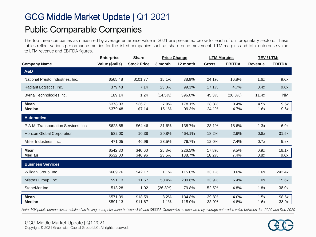### GCG Middle Market Update | Q1 2021 Public Comparable Companies

The top three companies as measured by average enterprise value in 2021 are presented below for each of our proprietary sectors. These tables reflect various performance metrics for the listed companies such as share price movement, LTM margins and total enterprise value to LTM revenue and EBITDA figures.

|                                      | <b>Enterprise</b>    | <b>Share</b>       |                | <b>Price Change</b> | <b>LTM Margins</b> |               | TEV / LTM:     |                |
|--------------------------------------|----------------------|--------------------|----------------|---------------------|--------------------|---------------|----------------|----------------|
| <b>Company Name</b>                  | Value (\$mils)       | <b>Stock Price</b> | 3 month        | 12 month            | <b>Gross</b>       | <b>EBITDA</b> | <b>Revenue</b> | <b>EBITDA</b>  |
| <b>A&amp;D</b>                       |                      |                    |                |                     |                    |               |                |                |
| National Presto Industries, Inc.     | \$565.48             | \$101.77           | 15.1%          | 38.9%               | 24.1%              | 16.8%         | 1.6x           | 9.6x           |
| Radiant Logistics, Inc.              | 379.48               | 7.14               | 23.0%          | 99.3%               | 17.1%              | 4.7%          | 0.4x           | 9.6x           |
| Byrna Technologies Inc.              | 189.14               | 1.24               | (14.5%)        | 396.0%              | 45.3%              | (20.3%)       | 11.4x          | <b>NM</b>      |
| <b>Mean</b><br><b>Median</b>         | \$378.03<br>\$379.48 | \$36.71<br>\$7.14  | 7.9%<br>15.1%  | 178.1%<br>99.3%     | 28.8%<br>24.1%     | 0.4%<br>4.7%  | 4.5x<br>1.6x   | 9.6x<br>9.6x   |
| <b>Automotive</b>                    |                      |                    |                |                     |                    |               |                |                |
| P.A.M. Transportation Services, Inc. | \$623.85             | \$64.46            | 31.6%          | 138.7%              | 23.1%              | 18.6%         | 1.3x           | 6.9x           |
| Horizon Global Corporation           | 532.00               | 10.38              | 20.8%          | 464.1%              | 18.2%              | 2.6%          | 0.8x           | 31.5x          |
| Miller Industries, Inc.              | 471.05               | 46.96              | 23.5%          | 76.7%               | 12.0%              | 7.4%          | 0.7x           | 9.8x           |
| <b>Mean</b><br><b>Median</b>         | \$542.30<br>\$532.00 | \$40.60<br>\$46.96 | 25.3%<br>23.5% | 226.5%<br>138.7%    | 17.8%<br>18.2%     | 9.5%<br>7.4%  | 0.9x<br>0.8x   | 16.1x<br>9.8x  |
| <b>Business Services</b>             |                      |                    |                |                     |                    |               |                |                |
| Willdan Group, Inc.                  | \$609.76             | \$42.17            | 1.1%           | 115.0%              | 33.1%              | 0.6%          | 1.6x           | 242.4x         |
| Mistras Group, Inc.                  | 591.13               | 11.67              | 50.4%          | 209.6%              | 33.9%              | 6.4%          | 1.0x           | 15.6x          |
| StoneMor Inc.                        | 513.28               | 1.92               | (26.8%)        | 79.8%               | 52.5%              | 4.8%          | 1.8x           | 38.0x          |
| <b>Mean</b><br><b>Median</b>         | \$571.39<br>\$591.13 | \$18.59<br>\$11.67 | 8.2%<br>1.1%   | 134.8%<br>115.0%    | 39.8%<br>33.9%     | 4.0%<br>4.8%  | 1.5x<br>1.6x   | 98.6x<br>38.0x |

*Note: MM public companies are defined as having enterprise value between \$10 and \$500M. Companies as measured by average enterprise value between Jan-2020 and Dec-2020*

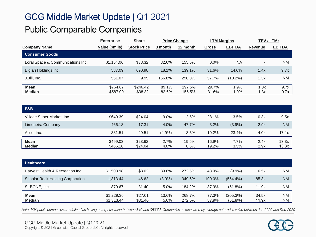#### Public Comparable Companies

|                                   | <b>Enterprise</b> | <b>Share</b>       | <b>Price Change</b> |          | <b>LTM Margins</b> |               | TEV/LTM:                 |               |
|-----------------------------------|-------------------|--------------------|---------------------|----------|--------------------|---------------|--------------------------|---------------|
| <b>Company Name</b>               | Value (\$mils)    | <b>Stock Price</b> | 3 month             | 12 month | Gross              | <b>EBITDA</b> | Revenue                  | <b>EBITDA</b> |
| <b>Consumer Goods</b>             |                   |                    |                     |          |                    |               |                          |               |
| Loral Space & Communications Inc. | \$1,154,06        | \$38.32            | 82.6%               | 155.5%   | 0.0%               | <b>NA</b>     | $\overline{\phantom{a}}$ | <b>NM</b>     |
| Biglari Holdings Inc.             | 587.09            | 690.98             | 18.1%               | 139.1%   | 31.6%              | 14.0%         | 1.4x                     | 9.7x          |
| J.Jill, Inc.                      | 551.07            | 9.95               | 166.8%              | 298.0%   | 57.7%              | $(10.2\%)$    | 1.3x                     | <b>NM</b>     |
|                                   |                   |                    |                     |          |                    |               |                          |               |
| <b>Mean</b>                       | \$764.07          | \$246.42           | 89.1%               | 197.5%   | 29.7%              | 1.9%          | 1.3x                     | 9.7x          |
| <b>Median</b>                     | \$587.09          | \$38.32            | 82.6%               | 155.5%   | 31.6%              | .9%           | I.3x                     | 9.7x          |

| F&B                        |                      |                    |              |               |                |              |              |                |
|----------------------------|----------------------|--------------------|--------------|---------------|----------------|--------------|--------------|----------------|
| Village Super Market, Inc. | \$649.39             | \$24.04            | $9.0\%$      | 2.5%          | 28.1%          | 3.5%         | 0.3x         | 9.5x           |
| Limoneira Company          | 466.18               | 17.31              | 4.0%         | 47.7%         | 3.2%           | $(3.9\%)$    | 2.9x         | <b>NM</b>      |
| Alico, Inc.                | 381.51               | 29.51              | (4.9%        | 8.5%          | 19.2%          | 23.4%        | 4.0x         | 17.1x          |
| Mean<br><b>Median</b>      | \$499.03<br>\$466.18 | \$23.62<br>\$24.04 | 2.7%<br>4.0% | 19.6%<br>8.5% | 16.9%<br>19.2% | 7.7%<br>3.5% | 2.4x<br>2.9x | 13.3x<br>13.3x |

| <b>Healthcare</b>                |                          |                    |               |                  |                |                        |                |                        |
|----------------------------------|--------------------------|--------------------|---------------|------------------|----------------|------------------------|----------------|------------------------|
| Harvest Health & Recreation Inc. | \$1,503.98               | \$3.02             | 39.6%         | 272.5%           | 43.9%          | $(9.9\%)$              | 6.5x           | <b>NM</b>              |
| Scholar Rock Holding Corporation | 1.313.44                 | 46.62              | $(3.9\%)$     | 349.6%           | 100.0%         | $(554.4\%)$            | 85.3x          | <b>NM</b>              |
| SI-BONE, Inc.                    | 870.67                   | 31.40              | 5.0%          | 184.2%           | 87.9%          | $(51.8\%)$             | 11.9x          | <b>NM</b>              |
| <b>Mean</b><br><b>Median</b>     | \$1,229.36<br>\$1,313.44 | \$27.01<br>\$31.40 | 13.6%<br>5.0% | 268.7%<br>272.5% | 77.3%<br>87.9% | (205.3%)<br>$(51.8\%)$ | 34.5x<br>11.9x | <b>NM</b><br><b>NM</b> |

*Note: MM public companies are defined as having enterprise value between \$10 and \$500M. Companies as measured by average enterprise value between Jan-2020 and Dec-2020*

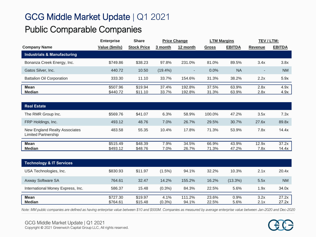#### Public Comparable Companies

|                                        | <b>Enterprise</b> | <b>Share</b>       | <b>Price Change</b> |                          | <b>LTM Margins</b> |               | TEV / LTM:               |               |
|----------------------------------------|-------------------|--------------------|---------------------|--------------------------|--------------------|---------------|--------------------------|---------------|
| <b>Company Name</b>                    | Value (\$mils)    | <b>Stock Price</b> | 3 month             | 12 month                 | <b>Gross</b>       | <b>EBITDA</b> | Revenue                  | <b>EBITDA</b> |
| <b>Industrials &amp; Manufacturing</b> |                   |                    |                     |                          |                    |               |                          |               |
| Bonanza Creek Energy, Inc.             | \$749.86          | \$38.23            | 97.8%               | 231.0%                   | 81.0%              | 89.5%         | 3.4x                     | 3.8x          |
| Gatos Silver, Inc.                     | 440.72            | 10.50              | $(19.4\%)$          | $\overline{\phantom{a}}$ | 0.0%               | <b>NA</b>     | $\overline{\phantom{a}}$ | <b>NM</b>     |
| <b>Battalion Oil Corporation</b>       | 333.30            | 11.10              | 33.7%               | 154.6%                   | 31.3%              | 38.2%         | 2.2x                     | 5.9x          |
| Mean                                   | \$507.96          | \$19.94            | 37.4%               | 192.8%                   | 37.5%              | 63.9%         | 2.8x                     | 4.9x          |
| <b>Median</b>                          | \$440.72          | \$11.10            | 33.7%               | 192.8%                   | 31.3%              | 63.9%         | 2.8x                     | 4.9x          |

| <b>Real Estate</b>                                   |          |         |       |       |        |       |       |       |
|------------------------------------------------------|----------|---------|-------|-------|--------|-------|-------|-------|
| The RMR Group Inc.                                   | \$569.76 | \$41.07 | 6.3%  | 58.9% | 100.0% | 47.2% | 3.5x  | 7.3x  |
| FRP Holdings, Inc.                                   | 493.12   | 48.76   | 7.0%  | 26.7% | 29.5%  | 30.7% | 27.6x | 89.8x |
| New England Realty Associates<br>Limited Partnership | 483.58   | 55.35   | 10.4% | 17.8% | 71.3%  | 53.9% | 7.8x  | 14.4x |
| Mean                                                 | \$515.49 | \$48.39 | 7.9%  | 34.5% | 66.9%  | 43.9% | 12.9x | 37.2x |
| <b>Median</b>                                        | \$493.12 | \$48.76 | 7.0%  | 26.7% | 71.3%  | 47.2% | 7.8x  | 14.4x |

| Technology & IT Services          |                      |                    |                   |                 |                |                 |              |                |
|-----------------------------------|----------------------|--------------------|-------------------|-----------------|----------------|-----------------|--------------|----------------|
| USA Technologies, Inc.            | \$830.93             | \$11.97            | $(1.5\%)$         | 94.1%           | $32.2\%$       | 10.3%           | 2.1x         | 20.4x          |
| <b>Axway Software SA</b>          | 764.61               | 32.47              | 14.2%             | 155.2%          | 16.2%          | $(13.3\%)$      | 5.5x         | <b>NM</b>      |
| International Money Express, Inc. | 586.37               | 15.48              | $(0.3\%)$         | 84.3%           | 22.5%          | 5.6%            | 1.9x         | 34.0x          |
| <b>Mean</b><br><b>Median</b>      | \$727.30<br>\$764.61 | \$19.97<br>\$15.48 | 4.1%<br>$(0.3\%)$ | 111.2%<br>94.1% | 23.6%<br>22.5% | $0.9\%$<br>5.6% | 3.2x<br>2.1x | 27.2x<br>27.2x |

*Note: MM public companies are defined as having enterprise value between \$10 and \$500M. Companies as measured by average enterprise value between Jan-2020 and Dec-2020*